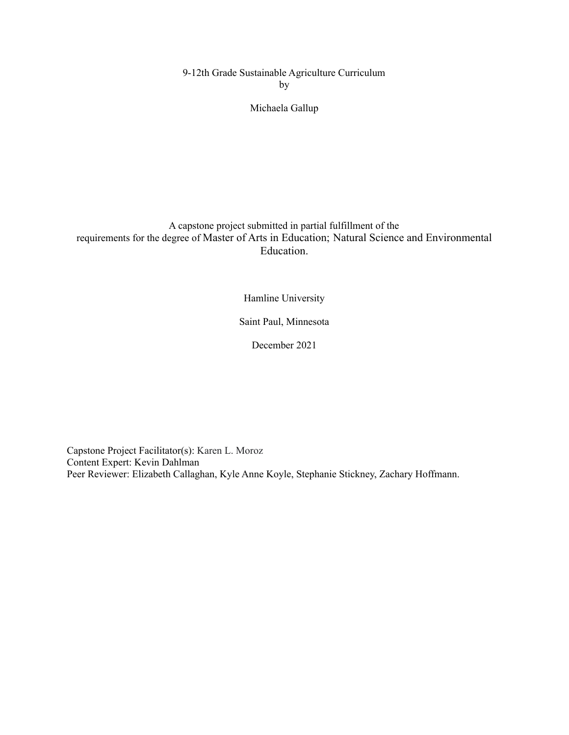9-12th Grade Sustainable Agriculture Curriculum by

### Michaela Gallup

### A capstone project submitted in partial fulfillment of the requirements for the degree of Master of Arts in Education; Natural Science and Environmental Education.

Hamline University

Saint Paul, Minnesota

December 2021

Capstone Project Facilitator(s): Karen L. Moroz Content Expert: Kevin Dahlman Peer Reviewer: Elizabeth Callaghan, Kyle Anne Koyle, Stephanie Stickney, Zachary Hoffmann.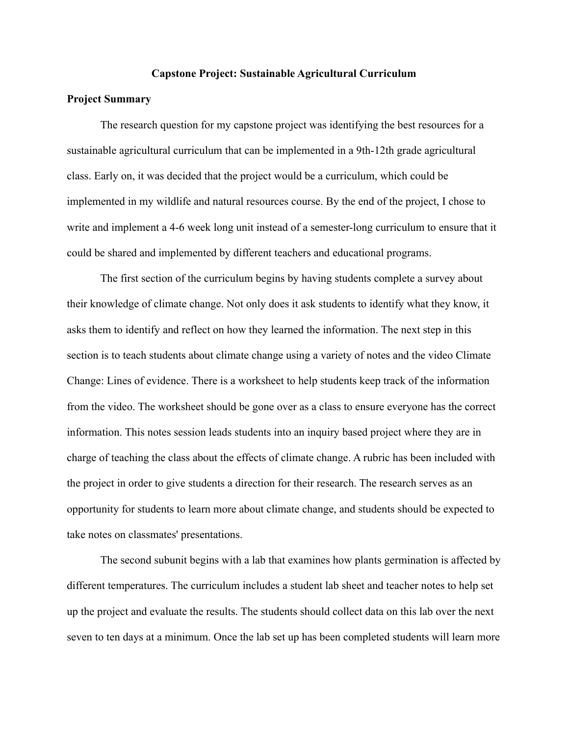#### **Capstone Project: Sustainable Agricultural Curriculum**

#### **Project Summary**

The research question for my capstone project was identifying the best resources for a sustainable agricultural curriculum that can be implemented in a 9th-12th grade agricultural class. Early on, it was decided that the project would be a curriculum, which could be implemented in my wildlife and natural resources course. By the end of the project, I chose to write and implement a 4-6 week long unit instead of a semester-long curriculum to ensure that it could be shared and implemented by different teachers and educational programs.

The first section of the curriculum begins by having students complete a survey about their knowledge of climate change. Not only does it ask students to identify what they know, it asks them to identify and reflect on how they learned the information. The next step in this section is to teach students about climate change using a variety of notes and the video Climate Change: Lines of evidence. There is a worksheet to help students keep track of the information from the video. The worksheet should be gone over as a class to ensure everyone has the correct information. This notes session leads students into an inquiry based project where they are in charge of teaching the class about the effects of climate change. A rubric has been included with the project in order to give students a direction for their research. The research serves as an opportunity for students to learn more about climate change, and students should be expected to take notes on classmates' presentations.

The second subunit begins with a lab that examines how plants germination is affected by different temperatures. The curriculum includes a student lab sheet and teacher notes to help set up the project and evaluate the results. The students should collect data on this lab over the next seven to ten days at a minimum. Once the lab set up has been completed students will learn more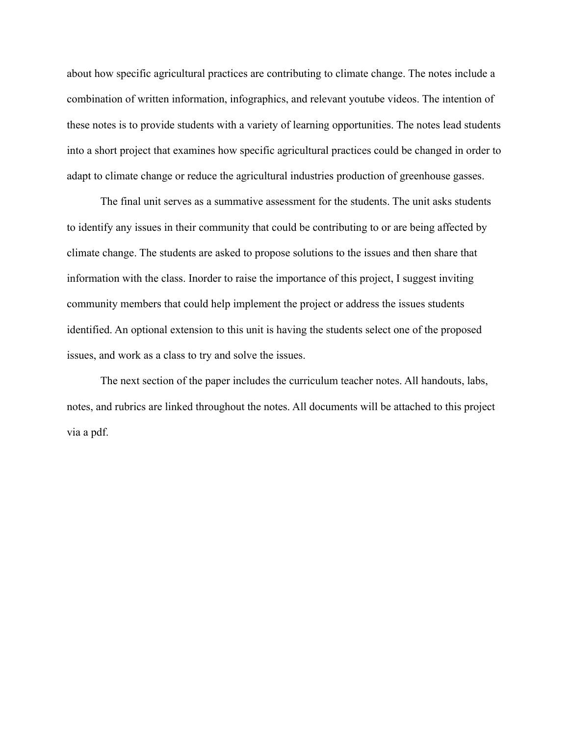about how specific agricultural practices are contributing to climate change. The notes include a combination of written information, infographics, and relevant youtube videos. The intention of these notes is to provide students with a variety of learning opportunities. The notes lead students into a short project that examines how specific agricultural practices could be changed in order to adapt to climate change or reduce the agricultural industries production of greenhouse gasses.

The final unit serves as a summative assessment for the students. The unit asks students to identify any issues in their community that could be contributing to or are being affected by climate change. The students are asked to propose solutions to the issues and then share that information with the class. Inorder to raise the importance of this project, I suggest inviting community members that could help implement the project or address the issues students identified. An optional extension to this unit is having the students select one of the proposed issues, and work as a class to try and solve the issues.

The next section of the paper includes the curriculum teacher notes. All handouts, labs, notes, and rubrics are linked throughout the notes. All documents will be attached to this project via a pdf.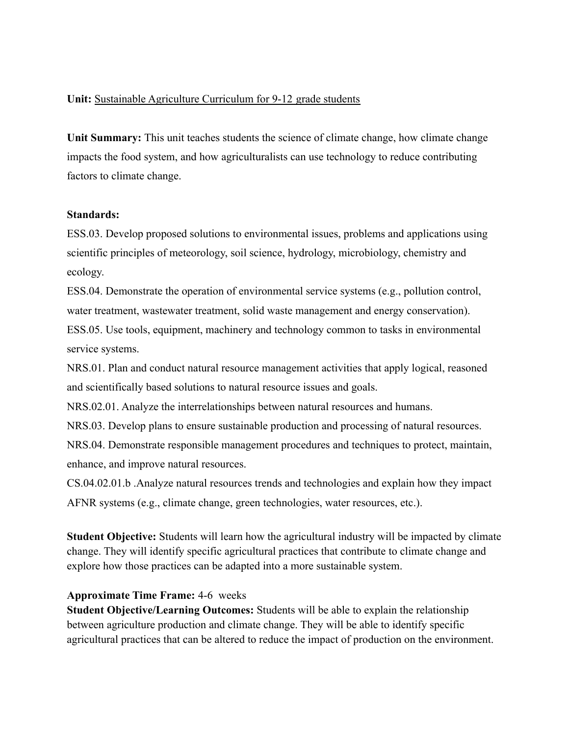### **Unit:** Sustainable Agriculture Curriculum for 9-12 grade students

**Unit Summary:** This unit teaches students the science of climate change, how climate change impacts the food system, and how agriculturalists can use technology to reduce contributing factors to climate change.

#### **Standards:**

ESS.03. Develop proposed solutions to environmental issues, problems and applications using scientific principles of meteorology, soil science, hydrology, microbiology, chemistry and ecology.

ESS.04. Demonstrate the operation of environmental service systems (e.g., pollution control, water treatment, wastewater treatment, solid waste management and energy conservation).

ESS.05. Use tools, equipment, machinery and technology common to tasks in environmental service systems.

NRS.01. Plan and conduct natural resource management activities that apply logical, reasoned and scientifically based solutions to natural resource issues and goals.

NRS.02.01. Analyze the interrelationships between natural resources and humans.

NRS.03. Develop plans to ensure sustainable production and processing of natural resources.

NRS.04. Demonstrate responsible management procedures and techniques to protect, maintain, enhance, and improve natural resources.

CS.04.02.01.b .Analyze natural resources trends and technologies and explain how they impact AFNR systems (e.g., climate change, green technologies, water resources, etc.).

**Student Objective:** Students will learn how the agricultural industry will be impacted by climate change. They will identify specific agricultural practices that contribute to climate change and explore how those practices can be adapted into a more sustainable system.

### **Approximate Time Frame:** 4-6 weeks

**Student Objective/Learning Outcomes:** Students will be able to explain the relationship between agriculture production and climate change. They will be able to identify specific agricultural practices that can be altered to reduce the impact of production on the environment.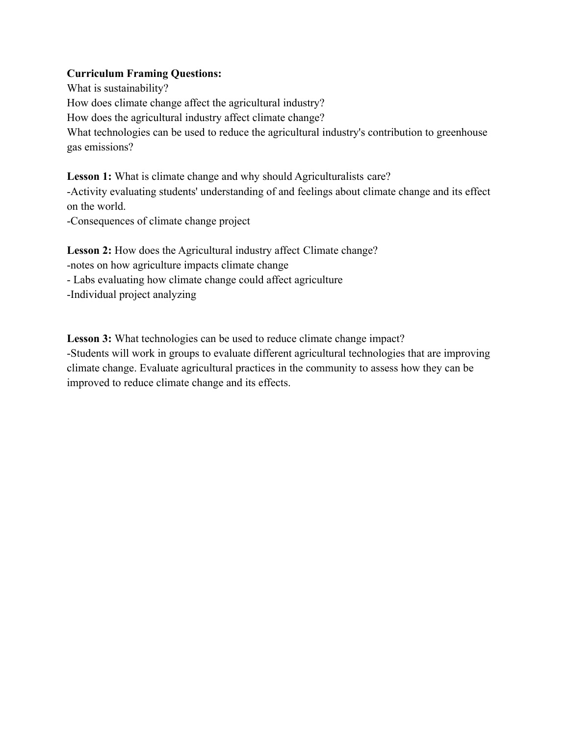## **Curriculum Framing Questions:**

What is sustainability? How does climate change affect the agricultural industry? How does the agricultural industry affect climate change? What technologies can be used to reduce the agricultural industry's contribution to greenhouse gas emissions?

Lesson 1: What is climate change and why should Agriculturalists care? -Activity evaluating students' understanding of and feelings about climate change and its effect on the world.

-Consequences of climate change project

Lesson 2: How does the Agricultural industry affect Climate change? -notes on how agriculture impacts climate change - Labs evaluating how climate change could affect agriculture -Individual project analyzing

Lesson 3: What technologies can be used to reduce climate change impact? -Students will work in groups to evaluate different agricultural technologies that are improving climate change. Evaluate agricultural practices in the community to assess how they can be improved to reduce climate change and its effects.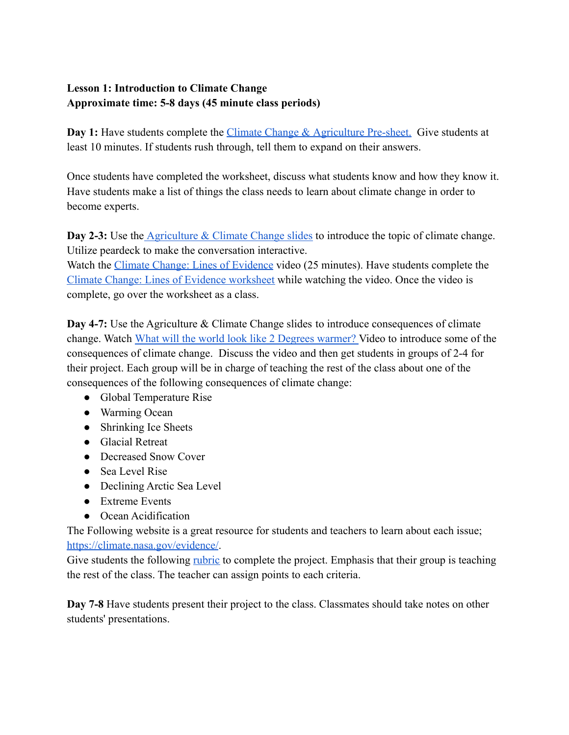# **Lesson 1: Introduction to Climate Change Approximate time: 5-8 days (45 minute class periods)**

**Day 1:** Have students complete the *Climate Change & [Agriculture Pre-sheet.](https://docs.google.com/document/d/1GlN8b8boN3dIizFNRUBiu4rlE-xpUDhGxrI2JDnw5NA/edit)* Give students at least 10 minutes. If students rush through, tell them to expand on their answers.

Once students have completed the worksheet, discuss what students know and how they know it. Have students make a list of things the class needs to learn about climate change in order to become experts.

**Day 2-3:** Use the [Agriculture & Climate Change slides](https://docs.google.com/presentation/d/1ThKVBb-JTUjP3kdQJeNd5Pxom6gf15Z_mxt3gnm70M0/edit#slide=id.gee4c46ef38_0_0) to introduce the topic of climate change. Utilize peardeck to make the conversation interactive.

Watch the [Climate Change: Lines of Evidence](https://www.youtube.com/watch?v=gIUN5ziSfNc) video (25 minutes). Have students complete the [Climate Change: Lines of Evidence worksheet](https://docs.google.com/document/d/1vWkL0BfFT3SqKX8UP9yPBBHa6khBKCUiX00MvF0lqrA/edit) while watching the video. Once the video is complete, go over the worksheet as a class.

**Day 4-7:** Use the Agriculture & Climate Change slides to introduce consequences of climate change. Watch [What will the world look like 2 Degrees](https://www.youtube.com/watch?v=q67IWTQ55vM&t=1s) warmer? Video to introduce some of the consequences of climate change. Discuss the video and then get students in groups of 2-4 for their project. Each group will be in charge of teaching the rest of the class about one of the consequences of the following consequences of climate change:

- Global Temperature Rise
- Warming Ocean
- Shrinking Ice Sheets
- Glacial Retreat
- Decreased Snow Cover
- Sea Level Rise
- Declining Arctic Sea Level
- Extreme Events
- Ocean Acidification

The Following website is a great resource for students and teachers to learn about each issue; <https://climate.nasa.gov/evidence/>.

Give students the following <u>[rubric](https://docs.google.com/document/d/1aeIo2UtDqhugCzvPOMsOapOO1u_W1nNu7dbLONlz0dE/edit)</u> to complete the project. Emphasis that their group is teaching the rest of the class. The teacher can assign points to each criteria.

**Day 7-8** Have students present their project to the class. Classmates should take notes on other students' presentations.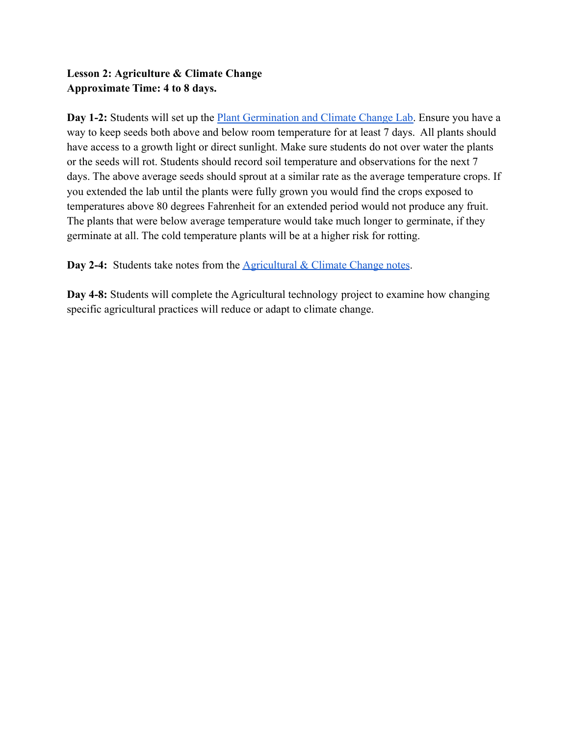## **Lesson 2: Agriculture & Climate Change Approximate Time: 4 to 8 days.**

**Day 1-2:** Students will set up the Plant Germination [and Climate Change Lab.](https://docs.google.com/document/d/1I2_aHkpvxjyJ_gIeMP_JDkf8IQtNqbQJcbUd4RBgeYs/edit) Ensure you have a way to keep seeds both above and below room temperature for at least 7 days. All plants should have access to a growth light or direct sunlight. Make sure students do not over water the plants or the seeds will rot. Students should record soil temperature and observations for the next 7 days. The above average seeds should sprout at a similar rate as the average temperature crops. If you extended the lab until the plants were fully grown you would find the crops exposed to temperatures above 80 degrees Fahrenheit for an extended period would not produce any fruit. The plants that were below average temperature would take much longer to germinate, if they germinate at all. The cold temperature plants will be at a higher risk for rotting.

**Day 2-4:** Students take notes from the **Agricultural [& Climate Change notes](https://docs.google.com/presentation/u/0/d/1ThKVBb-JTUjP3kdQJeNd5Pxom6gf15Z_mxt3gnm70M0/edit)**.

**Day 4-8:** Students will complete the Agricultural technology project to examine how changing specific agricultural practices will reduce or adapt to climate change.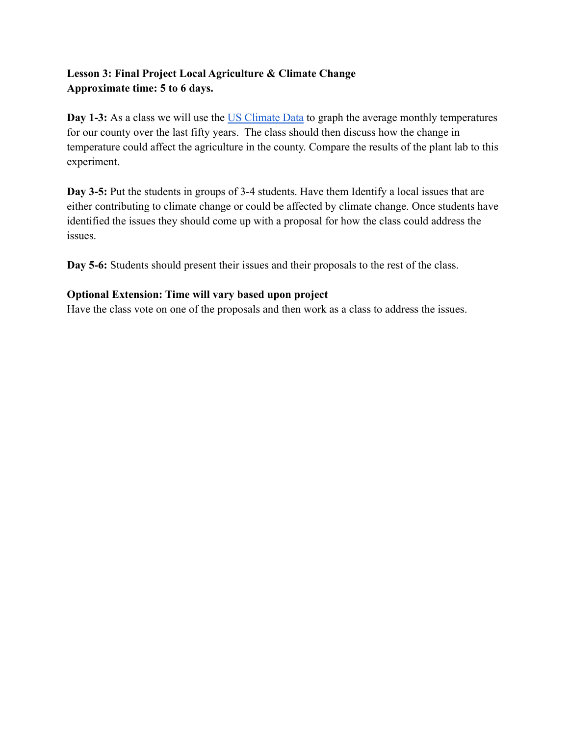## **Lesson 3: Final Project Local Agriculture & Climate Change Approximate time: 5 to 6 days.**

**Day 1-3:** As a class we will use the [US Climate Data](https://www.usclimatedata.com/climate/kimball/minnesota/united-states/usmn1111) to graph the average monthly temperatures for our county over the last fifty years. The class should then discuss how the change in temperature could affect the agriculture in the county. Compare the results of the plant lab to this experiment.

**Day 3-5:** Put the students in groups of 3-4 students. Have them Identify a local issues that are either contributing to climate change or could be affected by climate change. Once students have identified the issues they should come up with a proposal for how the class could address the issues.

**Day 5-6:** Students should present their issues and their proposals to the rest of the class.

## **Optional Extension: Time will vary based upon project**

Have the class vote on one of the proposals and then work as a class to address the issues.